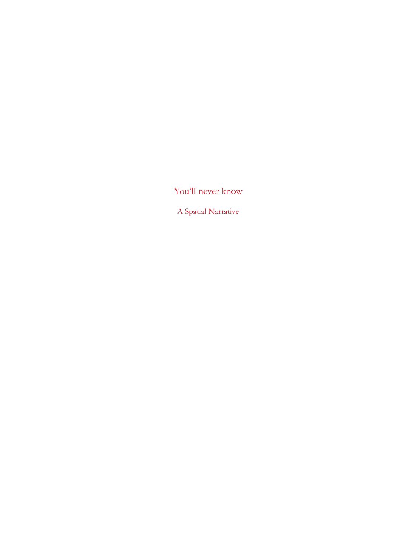You'll never know

A Spatial Narrative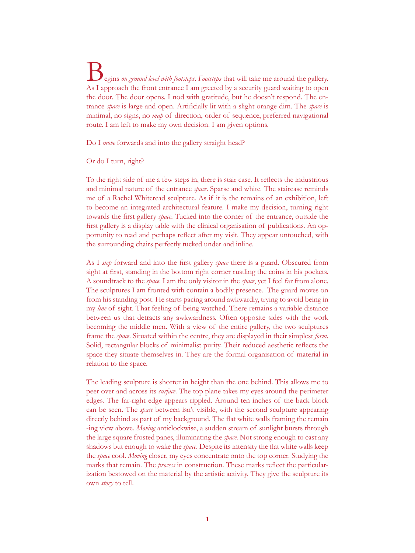Begins *on ground level with footsteps*. *Footsteps* that will take me around the gallery. As I approach the front entrance I am greeted by a security guard waiting to open the door. The door opens. I nod with gratitude, but he doesn't respond. The entrance *space* is large and open. Artificially lit with a slight orange dim. The *space* is minimal, no signs, no *map* of direction, order of sequence, preferred navigational route. I am left to make my own decision. I am given options.

Do I *move* forwards and into the gallery straight head?

Or do I turn, right?

To the right side of me a few steps in, there is stair case. It reflects the industrious and minimal nature of the entrance *space*. Sparse and white. The staircase reminds me of a Rachel Whiteread sculpture. As if it is the remains of an exhibition, left to become an integrated architectural feature. I make my decision, turning right towards the first gallery *space*. Tucked into the corner of the entrance, outside the first gallery is a display table with the clinical organisation of publications. An opportunity to read and perhaps reflect after my visit. They appear untouched, with the surrounding chairs perfectly tucked under and inline.

As I *step* forward and into the first gallery *space* there is a guard. Obscured from sight at first, standing in the bottom right corner rustling the coins in his pockets. A soundtrack to the *space*. I am the only visitor in the *space*, yet I feel far from alone. The sculptures I am fronted with contain a bodily presence. The guard moves on from his standing post. He starts pacing around awkwardly, trying to avoid being in my *line* of sight. That feeling of being watched. There remains a variable distance between us that detracts any awkwardness. Often opposite sides with the work becoming the middle men. With a view of the entire gallery, the two sculptures frame the *space*. Situated within the centre, they are displayed in their simplest *form*. Solid, rectangular blocks of minimalist purity. Their reduced aesthetic reflects the space they situate themselves in. They are the formal organisation of material in relation to the space.

The leading sculpture is shorter in height than the one behind. This allows me to peer over and across its *surface*. The top plane takes my eyes around the perimeter edges. The far-right edge appears rippled. Around ten inches of the back block can be seen. The *space* between isn't visible, with the second sculpture appearing directly behind as part of my background. The flat white walls framing the remain -ing view above. *Moving* anticlockwise, a sudden stream of sunlight bursts through the large square frosted panes, illuminating the *space*. Not strong enough to cast any shadows but enough to wake the *space*. Despite its intensity the flat white walls keep the *space* cool. *Moving* closer, my eyes concentrate onto the top corner. Studying the marks that remain. The *process* in construction. These marks reflect the particularization bestowed on the material by the artistic activity. They give the sculpture its own *story* to tell.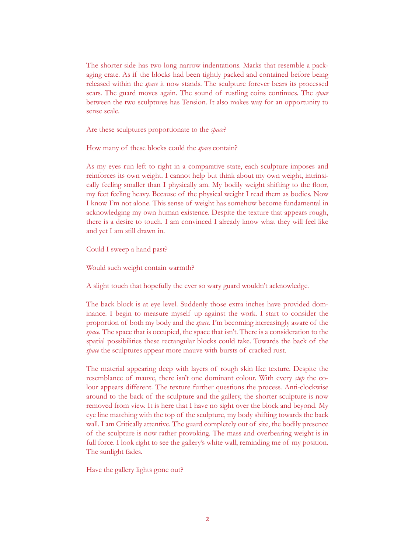The shorter side has two long narrow indentations. Marks that resemble a packaging crate. As if the blocks had been tightly packed and contained before being released within the *space* it now stands. The sculpture forever bears its processed scars. The guard moves again. The sound of rustling coins continues. The *space* between the two sculptures has Tension. It also makes way for an opportunity to sense scale.

Are these sculptures proportionate to the *space*?

How many of these blocks could the *space* contain?

As my eyes run left to right in a comparative state, each sculpture imposes and reinforces its own weight. I cannot help but think about my own weight, intrinsically feeling smaller than I physically am. My bodily weight shifting to the floor, my feet feeling heavy. Because of the physical weight I read them as bodies. Now I know I'm not alone. This sense of weight has somehow become fundamental in acknowledging my own human existence. Despite the texture that appears rough, there is a desire to touch. I am convinced I already know what they will feel like and yet I am still drawn in.

Could I sweep a hand past?

Would such weight contain warmth?

A slight touch that hopefully the ever so wary guard wouldn't acknowledge.

The back block is at eye level. Suddenly those extra inches have provided dominance. I begin to measure myself up against the work. I start to consider the proportion of both my body and the *space*. I'm becoming increasingly aware of the *space*. The space that is occupied, the space that isn't. There is a consideration to the spatial possibilities these rectangular blocks could take. Towards the back of the *space* the sculptures appear more mauve with bursts of cracked rust.

The material appearing deep with layers of rough skin like texture. Despite the resemblance of mauve, there isn't one dominant colour. With every *step* the colour appears different. The texture further questions the process. Anti-clockwise around to the back of the sculpture and the gallery, the shorter sculpture is now removed from view. It is here that I have no sight over the block and beyond. My eye line matching with the top of the sculpture, my body shifting towards the back wall. I am Critically attentive. The guard completely out of site, the bodily presence of the sculpture is now rather provoking. The mass and overbearing weight is in full force. I look right to see the gallery's white wall, reminding me of my position. The sunlight fades.

Have the gallery lights gone out?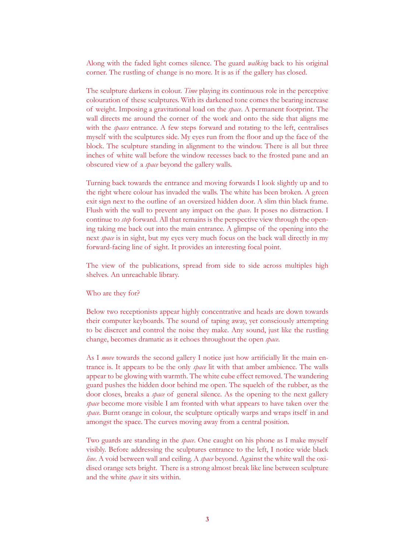Along with the faded light comes silence. The guard *walking* back to his original corner. The rustling of change is no more. It is as if the gallery has closed.

The sculpture darkens in colour. *Time* playing its continuous role in the perceptive colouration of these sculptures. With its darkened tone comes the bearing increase of weight. Imposing a gravitational load on the *space*. A permanent footprint. The wall directs me around the corner of the work and onto the side that aligns me with the *spaces* entrance. A few steps forward and rotating to the left, centralises myself with the sculptures side. My eyes run from the floor and up the face of the block. The sculpture standing in alignment to the window. There is all but three inches of white wall before the window recesses back to the frosted pane and an obscured view of a *space* beyond the gallery walls.

Turning back towards the entrance and moving forwards I look slightly up and to the right where colour has invaded the walls. The white has been broken. A green exit sign next to the outline of an oversized hidden door. A slim thin black frame. Flush with the wall to prevent any impact on the *space*. It poses no distraction. I continue to *step* forward. All that remains is the perspective view through the opening taking me back out into the main entrance. A glimpse of the opening into the next *space* is in sight, but my eyes very much focus on the back wall directly in my forward-facing line of sight. It provides an interesting focal point.

The view of the publications, spread from side to side across multiples high shelves. An unreachable library.

## Who are they for?

Below two receptionists appear highly concentrative and heads are down towards their computer keyboards. The sound of taping away, yet consciously attempting to be discreet and control the noise they make. Any sound, just like the rustling change, becomes dramatic as it echoes throughout the open *space*.

As I *move* towards the second gallery I notice just how artificially lit the main entrance is. It appears to be the only *space* lit with that amber ambience. The walls appear to be glowing with warmth. The white cube effect removed. The wandering guard pushes the hidden door behind me open. The squelch of the rubber, as the door closes, breaks a *space* of general silence. As the opening to the next gallery *space* become more visible I am fronted with what appears to have taken over the *space*. Burnt orange in colour, the sculpture optically warps and wraps itself in and amongst the space. The curves moving away from a central position.

Two guards are standing in the *space*. One caught on his phone as I make myself visibly. Before addressing the sculptures entrance to the left, I notice wide black *line*. A void between wall and ceiling. A *space* beyond. Against the white wall the oxidised orange sets bright. There is a strong almost break like line between sculpture and the white *space* it sits within.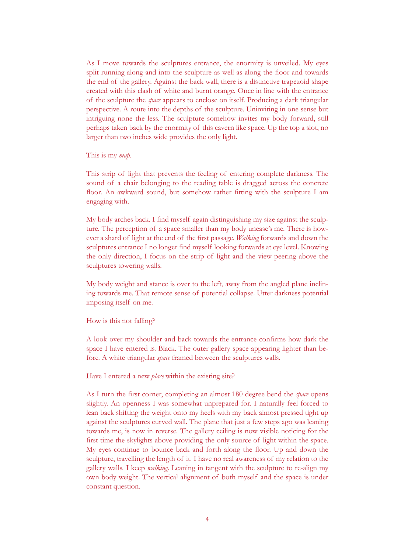As I move towards the sculptures entrance, the enormity is unveiled. My eyes split running along and into the sculpture as well as along the floor and towards the end of the gallery. Against the back wall, there is a distinctive trapezoid shape created with this clash of white and burnt orange. Once in line with the entrance of the sculpture the *space* appears to enclose on itself. Producing a dark triangular perspective. A route into the depths of the sculpture. Uninviting in one sense but intriguing none the less. The sculpture somehow invites my body forward, still perhaps taken back by the enormity of this cavern like space. Up the top a slot, no larger than two inches wide provides the only light.

This is my *map*.

This strip of light that prevents the feeling of entering complete darkness. The sound of a chair belonging to the reading table is dragged across the concrete floor. An awkward sound, but somehow rather fitting with the sculpture I am engaging with.

My body arches back. I find myself again distinguishing my size against the sculpture. The perception of a space smaller than my body unease's me. There is however a shard of light at the end of the first passage. *Walking* forwards and down the sculptures entrance I no longer find myself looking forwards at eye level. Knowing the only direction, I focus on the strip of light and the view peering above the sculptures towering walls.

My body weight and stance is over to the left, away from the angled plane inclining towards me. That remote sense of potential collapse. Utter darkness potential imposing itself on me.

How is this not falling?

A look over my shoulder and back towards the entrance confirms how dark the space I have entered is. Black. The outer gallery space appearing lighter than before. A white triangular *space* framed between the sculptures walls.

Have I entered a new *place* within the existing site?

As I turn the first corner, completing an almost 180 degree bend the *space* opens slightly. An openness I was somewhat unprepared for. I naturally feel forced to lean back shifting the weight onto my heels with my back almost pressed tight up against the sculptures curved wall. The plane that just a few steps ago was leaning towards me, is now in reverse. The gallery ceiling is now visible noticing for the first time the skylights above providing the only source of light within the space. My eyes continue to bounce back and forth along the floor. Up and down the sculpture, travelling the length of it. I have no real awareness of my relation to the gallery walls. I keep *walking*. Leaning in tangent with the sculpture to re-align my own body weight. The vertical alignment of both myself and the space is under constant question.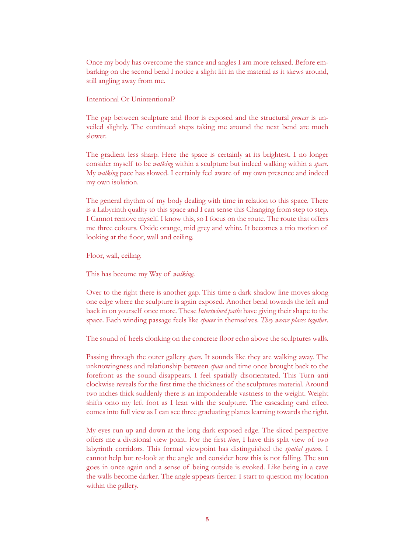Once my body has overcome the stance and angles I am more relaxed. Before embarking on the second bend I notice a slight lift in the material as it skews around, still angling away from me.

Intentional Or Unintentional?

The gap between sculpture and floor is exposed and the structural *process* is unveiled slightly. The continued steps taking me around the next bend are much slower.

The gradient less sharp. Here the space is certainly at its brightest. I no longer consider myself to be *walking* within a sculpture but indeed walking within a *space*. My *walking* pace has slowed. I certainly feel aware of my own presence and indeed my own isolation.

The general rhythm of my body dealing with time in relation to this space. There is a Labyrinth quality to this space and I can sense this Changing from step to step. I Cannot remove myself. I know this, so I focus on the route. The route that offers me three colours. Oxide orange, mid grey and white. It becomes a trio motion of looking at the floor, wall and ceiling.

Floor, wall, ceiling.

This has become my Way of *walking*.

Over to the right there is another gap. This time a dark shadow line moves along one edge where the sculpture is again exposed. Another bend towards the left and back in on yourself once more. These *Intertwined paths* have giving their shape to the space. Each winding passage feels like *spaces* in themselves. *They weave places together*.

The sound of heels clonking on the concrete floor echo above the sculptures walls.

Passing through the outer gallery *space*. It sounds like they are walking away. The unknowingness and relationship between *space* and time once brought back to the forefront as the sound disappears. I feel spatially disorientated. This Turn anti clockwise reveals for the first time the thickness of the sculptures material. Around two inches thick suddenly there is an imponderable vastness to the weight. Weight shifts onto my left foot as I lean with the sculpture. The cascading card effect comes into full view as I can see three graduating planes learning towards the right.

My eyes run up and down at the long dark exposed edge. The sliced perspective offers me a divisional view point. For the first *time*, I have this split view of two labyrinth corridors. This formal viewpoint has distinguished the *spatial system*. I cannot help but re-look at the angle and consider how this is not falling. The sun goes in once again and a sense of being outside is evoked. Like being in a cave the walls become darker. The angle appears fiercer. I start to question my location within the gallery.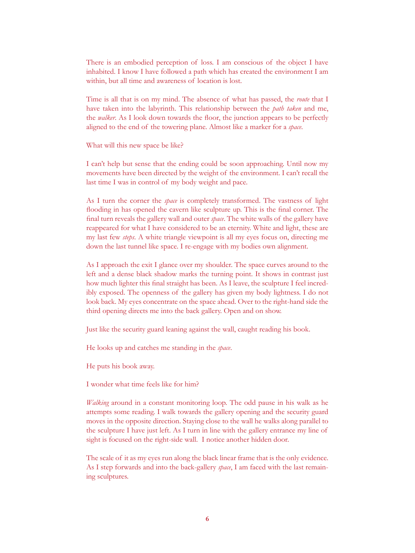There is an embodied perception of loss. I am conscious of the object I have inhabited. I know I have followed a path which has created the environment I am within, but all time and awareness of location is lost.

Time is all that is on my mind. The absence of what has passed, the *route* that I have taken into the labyrinth. This relationship between the *path taken* and me, the *walker*. As I look down towards the floor, the junction appears to be perfectly aligned to the end of the towering plane. Almost like a marker for a *space*.

What will this new space be like?

I can't help but sense that the ending could be soon approaching. Until now my movements have been directed by the weight of the environment. I can't recall the last time I was in control of my body weight and pace.

As I turn the corner the *space* is completely transformed. The vastness of light flooding in has opened the cavern like sculpture up. This is the final corner. The final turn reveals the gallery wall and outer *space*. The white walls of the gallery have reappeared for what I have considered to be an eternity. White and light, these are my last few *steps*. A white triangle viewpoint is all my eyes focus on, directing me down the last tunnel like space. I re-engage with my bodies own alignment.

As I approach the exit I glance over my shoulder. The space curves around to the left and a dense black shadow marks the turning point. It shows in contrast just how much lighter this final straight has been. As I leave, the sculpture I feel incredibly exposed. The openness of the gallery has given my body lightness. I do not look back. My eyes concentrate on the space ahead. Over to the right-hand side the third opening directs me into the back gallery. Open and on show.

Just like the security guard leaning against the wall, caught reading his book.

He looks up and catches me standing in the *space*.

He puts his book away.

I wonder what time feels like for him?

*Walking* around in a constant monitoring loop. The odd pause in his walk as he attempts some reading. I walk towards the gallery opening and the security guard moves in the opposite direction. Staying close to the wall he walks along parallel to the sculpture I have just left. As I turn in line with the gallery entrance my line of sight is focused on the right-side wall. I notice another hidden door.

The scale of it as my eyes run along the black linear frame that is the only evidence. As I step forwards and into the back-gallery *space*, I am faced with the last remaining sculptures.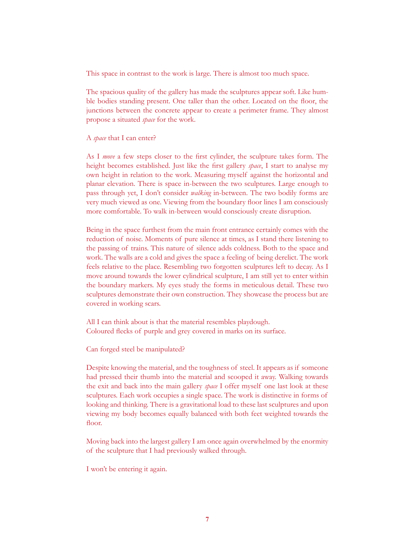This space in contrast to the work is large. There is almost too much space.

The spacious quality of the gallery has made the sculptures appear soft. Like humble bodies standing present. One taller than the other. Located on the floor, the junctions between the concrete appear to create a perimeter frame. They almost propose a situated *space* for the work.

A *space* that I can enter?

As I *move* a few steps closer to the first cylinder, the sculpture takes form. The height becomes established. Just like the first gallery *space*, I start to analyse my own height in relation to the work. Measuring myself against the horizontal and planar elevation. There is space in-between the two sculptures. Large enough to pass through yet, I don't consider *walking* in-between. The two bodily forms are very much viewed as one. Viewing from the boundary floor lines I am consciously more comfortable. To walk in-between would consciously create disruption.

Being in the space furthest from the main front entrance certainly comes with the reduction of noise. Moments of pure silence at times, as I stand there listening to the passing of trains. This nature of silence adds coldness. Both to the space and work. The walls are a cold and gives the space a feeling of being derelict. The work feels relative to the place. Resembling two forgotten sculptures left to decay. As I move around towards the lower cylindrical sculpture, I am still yet to enter within the boundary markers. My eyes study the forms in meticulous detail. These two sculptures demonstrate their own construction. They showcase the process but are covered in working scars.

All I can think about is that the material resembles playdough. Coloured flecks of purple and grey covered in marks on its surface.

Can forged steel be manipulated?

Despite knowing the material, and the toughness of steel. It appears as if someone had pressed their thumb into the material and scooped it away. Walking towards the exit and back into the main gallery *space* I offer myself one last look at these sculptures. Each work occupies a single space. The work is distinctive in forms of looking and thinking. There is a gravitational load to these last sculptures and upon viewing my body becomes equally balanced with both feet weighted towards the floor.

Moving back into the largest gallery I am once again overwhelmed by the enormity of the sculpture that I had previously walked through.

I won't be entering it again.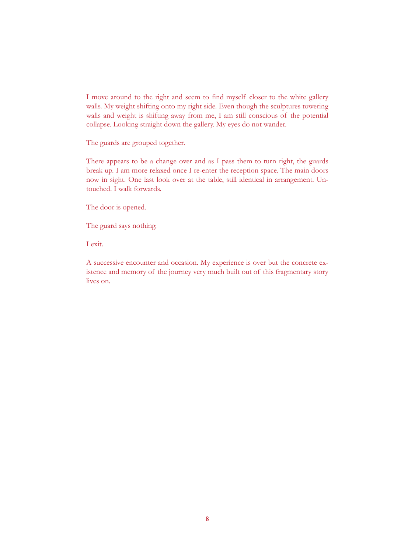I move around to the right and seem to find myself closer to the white gallery walls. My weight shifting onto my right side. Even though the sculptures towering walls and weight is shifting away from me, I am still conscious of the potential collapse. Looking straight down the gallery. My eyes do not wander.

The guards are grouped together.

There appears to be a change over and as I pass them to turn right, the guards break up. I am more relaxed once I re-enter the reception space. The main doors now in sight. One last look over at the table, still identical in arrangement. Untouched. I walk forwards.

The door is opened.

The guard says nothing.

I exit.

A successive encounter and occasion. My experience is over but the concrete existence and memory of the journey very much built out of this fragmentary story lives on.